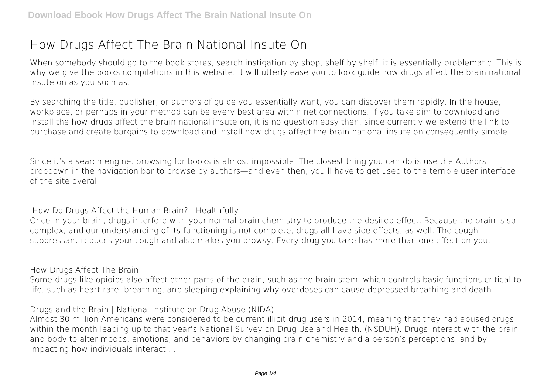## **How Drugs Affect The Brain National Insute On**

When somebody should go to the book stores, search instigation by shop, shelf by shelf, it is essentially problematic. This is why we give the books compilations in this website. It will utterly ease you to look guide **how drugs affect the brain national insute on** as you such as.

By searching the title, publisher, or authors of guide you essentially want, you can discover them rapidly. In the house, workplace, or perhaps in your method can be every best area within net connections. If you take aim to download and install the how drugs affect the brain national insute on, it is no question easy then, since currently we extend the link to purchase and create bargains to download and install how drugs affect the brain national insute on consequently simple!

Since it's a search engine. browsing for books is almost impossible. The closest thing you can do is use the Authors dropdown in the navigation bar to browse by authors—and even then, you'll have to get used to the terrible user interface of the site overall.

**How Do Drugs Affect the Human Brain? | Healthfully**

Once in your brain, drugs interfere with your normal brain chemistry to produce the desired effect. Because the brain is so complex, and our understanding of its functioning is not complete, drugs all have side effects, as well. The cough suppressant reduces your cough and also makes you drowsy. Every drug you take has more than one effect on you.

**How Drugs Affect The Brain**

Some drugs like opioids also affect other parts of the brain, such as the brain stem, which controls basic functions critical to life, such as heart rate, breathing, and sleeping explaining why overdoses can cause depressed breathing and death.

**Drugs and the Brain | National Institute on Drug Abuse (NIDA)**

Almost 30 million Americans were considered to be current illicit drug users in 2014, meaning that they had abused drugs within the month leading up to that year's National Survey on Drug Use and Health. (NSDUH). Drugs interact with the brain and body to alter moods, emotions, and behaviors by changing brain chemistry and a person's perceptions, and by impacting how individuals interact ...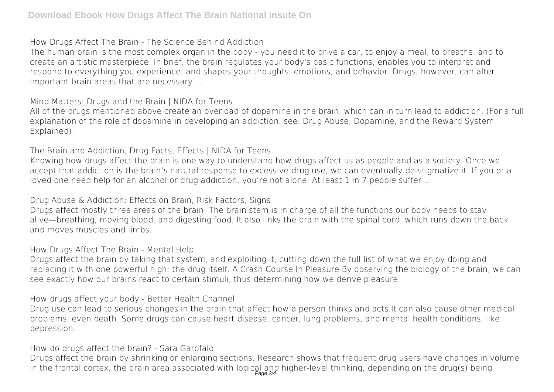**How Drugs Affect The Brain - The Science Behind Addiction**

The human brain is the most complex organ in the body - you need it to drive a car, to enjoy a meal, to breathe, and to create an artistic masterpiece. In brief, the brain regulates your body's basic functions; enables you to interpret and respond to everything you experience; and shapes your thoughts, emotions, and behavior. Drugs, however, can alter important brain areas that are necessary ...

**Mind Matters: Drugs and the Brain | NIDA for Teens**

All of the drugs mentioned above create an overload of dopamine in the brain, which can in turn lead to addiction. (For a full explanation of the role of dopamine in developing an addiction, see: Drug Abuse, Dopamine, and the Reward System Explained).

**The Brain and Addiction, Drug Facts, Effects | NIDA for Teens**

Knowing how drugs affect the brain is one way to understand how drugs affect us as people and as a society. Once we accept that addiction is the brain's natural response to excessive drug use, we can eventually de-stigmatize it. If you or a loved one need help for an alcohol or drug addiction, you're not alone. At least 1 in 7 people suffer ...

**Drug Abuse & Addiction: Effects on Brain, Risk Factors, Signs**

Drugs affect mostly three areas of the brain: The brain stem is in charge of all the functions our body needs to stay alive—breathing, moving blood, and digesting food. It also links the brain with the spinal cord, which runs down the back and moves muscles and limbs.

**How Drugs Affect The Brain - Mental Help**

Drugs affect the brain by taking that system, and exploiting it, cutting down the full list of what we enjoy doing and replacing it with one powerful high: the drug itself. A Crash Course In Pleasure By observing the biology of the brain, we can see exactly how our brains react to certain stimuli, thus determining how we derive pleasure.

**How drugs affect your body - Better Health Channel**

Drug use can lead to serious changes in the brain that affect how a person thinks and acts.It can also cause other medical problems, even death. Some drugs can cause heart disease, cancer, lung problems, and mental health conditions, like depression.

**How do drugs affect the brain? - Sara Garofalo**

Drugs affect the brain by shrinking or enlarging sections. Research shows that frequent drug users have changes in volume in the frontal cortex, the brain area associated with logical and higher-level thinking, depending on the drug(s) being<br>gage 24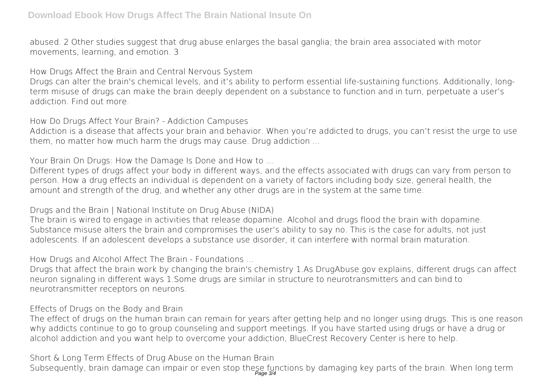abused. 2 Other studies suggest that drug abuse enlarges the basal ganglia; the brain area associated with motor movements, learning, and emotion. 3

**How Drugs Affect the Brain and Central Nervous System**

Drugs can alter the brain's chemical levels, and it's ability to perform essential life-sustaining functions. Additionally, longterm misuse of drugs can make the brain deeply dependent on a substance to function and in turn, perpetuate a user's addiction. Find out more.

**How Do Drugs Affect Your Brain? - Addiction Campuses**

Addiction is a disease that affects your brain and behavior. When you're addicted to drugs, you can't resist the urge to use them, no matter how much harm the drugs may cause. Drug addiction ...

**Your Brain On Drugs: How the Damage Is Done and How to ...**

Different types of drugs affect your body in different ways, and the effects associated with drugs can vary from person to person. How a drug effects an individual is dependent on a variety of factors including body size, general health, the amount and strength of the drug, and whether any other drugs are in the system at the same time.

**Drugs and the Brain | National Institute on Drug Abuse (NIDA)**

The brain is wired to engage in activities that release dopamine. Alcohol and drugs flood the brain with dopamine. Substance misuse alters the brain and compromises the user's ability to say no. This is the case for adults, not just adolescents. If an adolescent develops a substance use disorder, it can interfere with normal brain maturation.

**How Drugs and Alcohol Affect The Brain - Foundations ...**

Drugs that affect the brain work by changing the brain's chemistry 1.As DrugAbuse.gov explains, different drugs can affect neuron signaling in different ways 1.Some drugs are similar in structure to neurotransmitters and can bind to neurotransmitter receptors on neurons.

**Effects of Drugs on the Body and Brain**

The effect of drugs on the human brain can remain for years after getting help and no longer using drugs. This is one reason why addicts continue to go to group counseling and support meetings. If you have started using drugs or have a drug or alcohol addiction and you want help to overcome your addiction, BlueCrest Recovery Center is here to help.

**Short & Long Term Effects of Drug Abuse on the Human Brain**

Subsequently, brain damage can impair or even stop these functions by damaging key parts of the brain. When long term